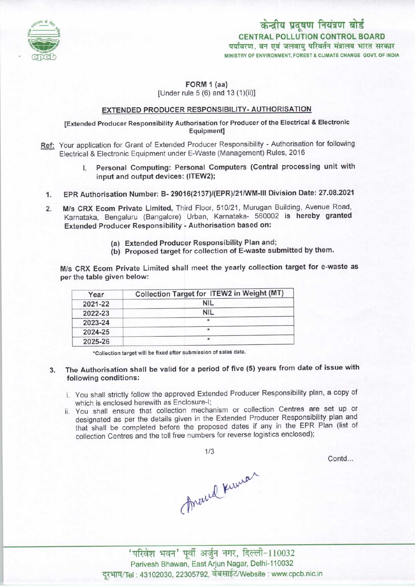

केन्द्रीय प्रदूषण नियंत्रण बोर्ड CENTRAL POLLUTION CONTROL BOARD<br>पर्यावरण, वन एवं जलवाय परिवर्तन मंत्रालय भारत सरकार MINISTRY OF ENVIRONMENT, FOREST & CLIMATE CHANGE GOVT. OF INDIA

# FORM 1 (aa)

[Under rule 5 (6) and 13 (1)(ii)]

## EXTENDED PRODUCER RESPONSIBILITY-AUTHORISATION

## [Extended Producer Responsibility Authorisation for Producer ofthe Electrical & Electronic Equipment]

- Ref: Your application for Grant of Extended Producer Responsibility Authorisation for following Electrical & Electronic Equipment under E-Waste (Management) Rules, 2016
	- I. Personal Computing: Personal Computers (Central processing unit with input and output devices: (ITEW2);
	- 1.EPR Authorisation Number: B- 29016(2137)/(EPR)/21/WM-lll Division Date: 27.08.2021
	- 2. EPR Authorisation Number: B- 29016(2137)/(EPR)/21/WM-III Division Date: 27.08.202<br>2. M/s CRX Ecom Private Limited, Third Floor, 510/21, Murugan Building, Avenue Road M/s CRX Ecom Private Limited, Third Floor, 510/21, Murugan Building, Avenue Road, Karnataka, Bengaluru (Bangalore) Urban, Karnataka- 560002 is hereby granted Extended Producer Responsibility - Authorisation based on:
		- (a)Extended Producer Responsibility Plan and;
		- (b) Proposed target for collection of E-waste submitted by them.

M/s CRX Ecom Private Limited shall meet the yearly collection target for e-waste as per the table given below:

| Year    | Collection Target for ITEW2 in Weight (MT) |
|---------|--------------------------------------------|
| 2021-22 | <b>NIL</b>                                 |
| 2022-23 | <b>NIL</b>                                 |
| 2023-24 | *                                          |
| 2024-25 |                                            |
| 2025-26 | $\star$                                    |

'Collection target will be fixed aftersubmission of sales data.

## 3. The Authorisation shall be valid for a period of five (5) years from date of issue with following conditions:

- i. You shall strictly follow the approved Extended Producer Responsibility plan, a copy of which is enclosed herewith as Enclosure-I;
- ii. You shall ensure that collection mechanism or collection Centres are set up or designated as per the details given in the Extended Producer Responsibility plan and that shall be completed before the proposed dates if any in the EPR Plan (list of collection Centres and the toll free numbers for reverse logistics enclosed);

 $1/3$ 

Contd...

Arened Kinner

'परिवेश भवन' पूर्वी अर्जुन नगर, दिल्ली-110032 Parivesh Bhawan, East Arjun Nagar, Delhi-110032 दूरभाष/Tel: 43102030, 22305792, वेबसाईट/Website : www.cpcb.nic.in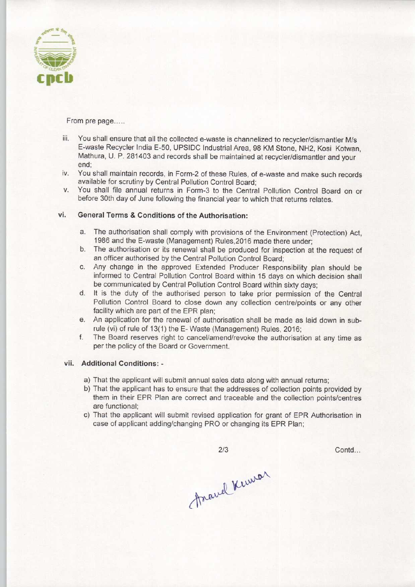

From pre page.....

- iii. You shall ensure that all the collected e-waste is channelized to recycler/dismantler M/s E-waste Recycler India E-50, UPSIDC Industrial Area, 98 KM Stone, NH2, Kosi Kotwan, Mathura, U. P. 281403 and records shall be maintained at recycler/dismantler and your end;
- iv. You shall maintain records, in Form-2 of these Rules, of e-waste and make such records available for scrutiny by Central Pollution Control Board;
- v. You shall file annual returns in Fomn-3 to the Central Pollution Control Board on or before 30th day of June following the financial year to which that returns relates.

## vi. General Terms & Conditions of the Authorisation:

- a.The authorisation shall comply with provisions of the Environment (Protection) Act, 1986 and the E-waste (Management) Rules,2016 made there under;
- b.The authorisation or its renewal shall be produced for inspection at the request of an officer authorised by the Central Pollution Control Board;
- c.Any change in the approved Extended Producer Responsibility plan should be informed to Central Pollution Control Board within 15 days on which decision shall be communicated by Central Pollution Control Board within sixty days;
- d. It is the duty of the authorised person to take prior permission of the Central Pollution Control Board to close down any collection centre/points or any other facility which are part of the EPR plan;
- e. An application for the renewal of authorisation shall be made as laid down in subrule (vi) of rule of 13(1) the E- Waste (Management) Rules, 2016;
- f. The Board reserves right to cancel/amend/revoke the authorisation at any time as per the policy of the Board or Government.

#### vii. Additional Conditions: -

- a) That the applicant will submit annual sales data along with annual returns;
- b) That the applicant has to ensure that the addresses of collection points provided by them in their EPR Plan are correct and traceable and the collection points/centres are functional;
- c) That the applicant will submit revised application for grant of EPR Authorisation in case of applicant adding/changing PRO or changing its EPR Plan;

 $2/3$ 

Contd...

Anaud Kumar